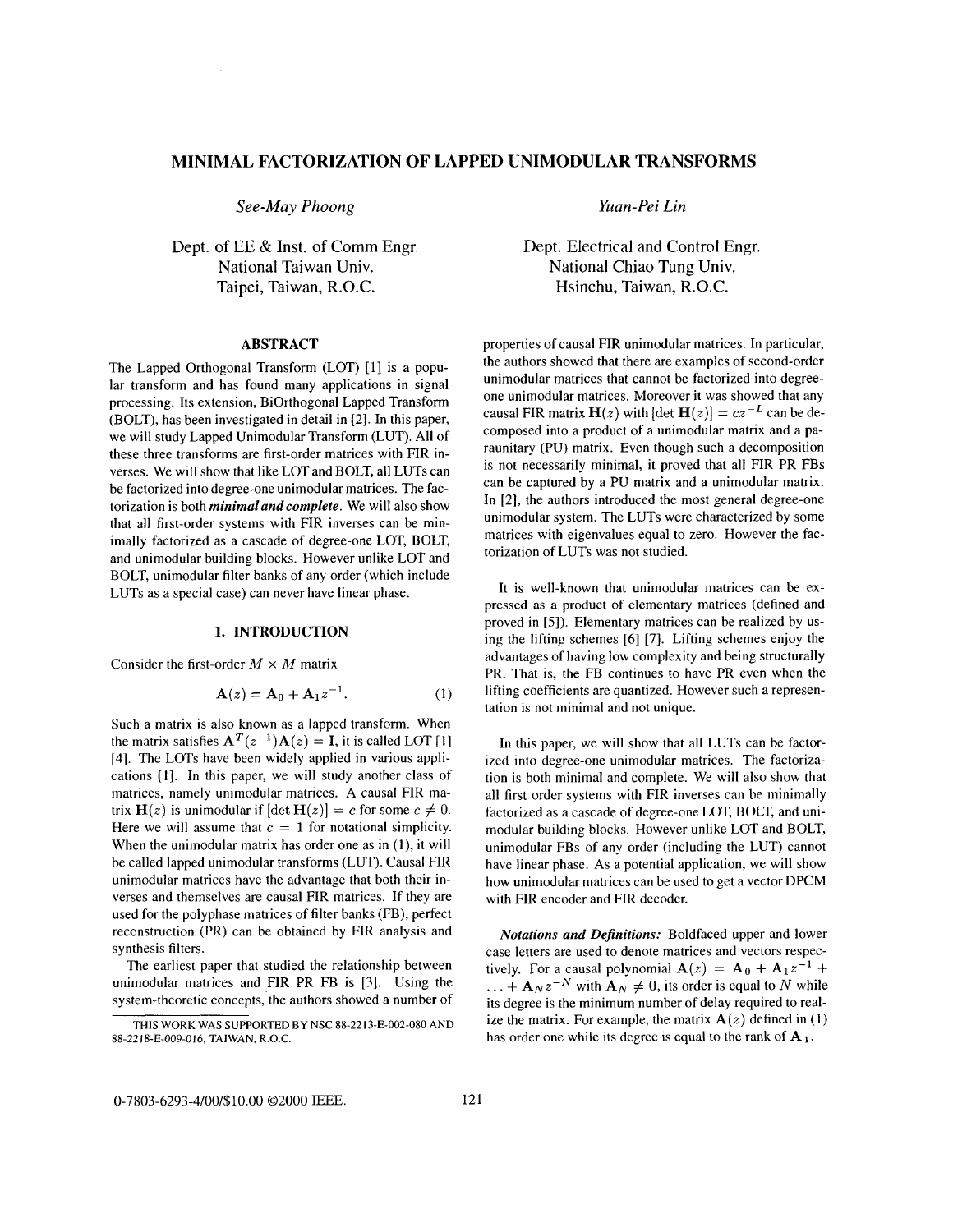# **MINIMAL FACTORIZATION OF LAPPED UNIMODULAR TRANSFORMS**

*See-May Phoong* 

Dept. of EE & Inst. of Comm Engr. National Taiwan Univ. Taipei, Taiwan, R.O.C.

### **ABSTRACT**

The Lapped Orthogonal Transform (LOT) [I] is a popular transform and has found many applications in signal processing. Its extension, BiOrthogonal Lapped Transform (BOLT), has been investigated in detail in [2]. In this paper, we will study Lapped Unimodular Transform (LUT). **All** of these three transforms are first-order matrices with FIR inverses. We will show that like LOT and BOLT, all LUTs can be factorized into degree-one unimodular matrices. The factorization is both *minimal and complete.* We will also show that all first-order systems with FIR inverses can be minimally factorized as a cascade of degree-one LOT, BOLT, and unimodular building blocks. However unlike LOT and BOLT, unimodular filter banks of any order (which include LUTs as a special case) can never have linear phase.

### **1. INTRODUCTION**

Consider the first-order  $M \times M$  matrix

$$
A(z) = A_0 + A_1 z^{-1}.
$$
 (1)

Such a matrix is also known as a lapped transform. When the matrix satisfies  $A^T(z^{-1})A(z) = I$ , it is called LOT [1] [4]. The LOTS have been widely applied in various applications [I]. In this paper, we will study another class of matrices, namely unimodular matrices. **A** causal FIR matrix  $H(z)$  is unimodular if  $[\det H(z)] = c$  for some  $c \neq 0$ . Here we will assume that  $c = 1$  for notational simplicity. When the unimodular matrix has order one as in (I), it will be called lapped unimodular transforms (LUT). Causal FIR unimodular matrices have the advantage that both their inverses and themselves are causal FIR matrices. If they are used for the polyphase matrices of filter banks (FB), perfect reconstruction (PR) can be obtained by FIR analysis and synthesis filters.

The earliest paper that studied the relationship between unimodular matrices and FIR PR FB is *[3].* Using the system-theoretic concepts, the authors showed a number of *Yuan* - *Pe i Lin* 

Dept. Electrical and Control Engr. National Chiao Tung Univ. Hsinchu, Taiwan, R.O.C.

properties of causal FIR unimodular matrices. In particular, the authors showed that there are examples of second-order unimodular matrices that cannot be factorized into degreeone unimodular matrices. Moreover it was showed that any causal FIR matrix  $\mathbf{H}(z)$  with  $[\det \mathbf{H}(z)] = cz^{-L}$  can be decomposed into a product of a unimodular matrix and a paraunitary (PU) matrix. Even though such a decomposition is not necessarily minimal, it proved that all FIR PR FBs can be captured by a PU matrix and a unimodular matrix. In [2], the authors introduced the most general degree-one unimodular system. The LUTs were characterized by some matrices with eigenvalues equal to zero. However the factorization of LUTs was not studied.

It is well-known that unimodular matrices can be expressed as a product of elementary matrices (defined and proved in *[5]).* Elementary matrices can be realized by using the lifting schemes [6] *[7].* Lifting schemes enjoy the advantages of having low complexity and being structurally PR. That is, the FB continues to have PR even when the lifting coefficients are quantized. However such a representation is not minimal and not unique.

In this paper, we will show that all LUTs can be factorized into degree-one unimodular matrices. The factorization is both minimal and complete. We will also show that all first order systems with FIR inverses can be minimally factorized as a cascade of degree-one LOT, BOLT, and unimodular building blocks. However unlike LOT and BOLT, unimodular FBs of any order (including the LUT) cannot have linear phase. **As** a potential application, we will show how unimodular matrices can be used to get a vector DPCM with FIR encoder and FIR decoder.

*Notations and Dejnitions:* Boldfaced upper and lower case letters are used to denote matrices and vectors respectively. For a causal polynomial  $\mathbf{A}(z) = \mathbf{A}_0 + \mathbf{A}_1 z^{-1} + \dots + \mathbf{A}_N z^{-N}$  with  $\mathbf{A}_N \neq \mathbf{0}$ , its order is equal to *N* while its degree is the minimum number of delay required to realize the matrix. For example, the matrix  $A(z)$  defined in (1) has order one while its degree is equal to the rank of **A 1.** 

**THIS WORK WAS SUPPORTED** BY NSC 88-2213-E-002-080 **AND**  88-2218-E-009-016, **TAIWAN,** R.O.C.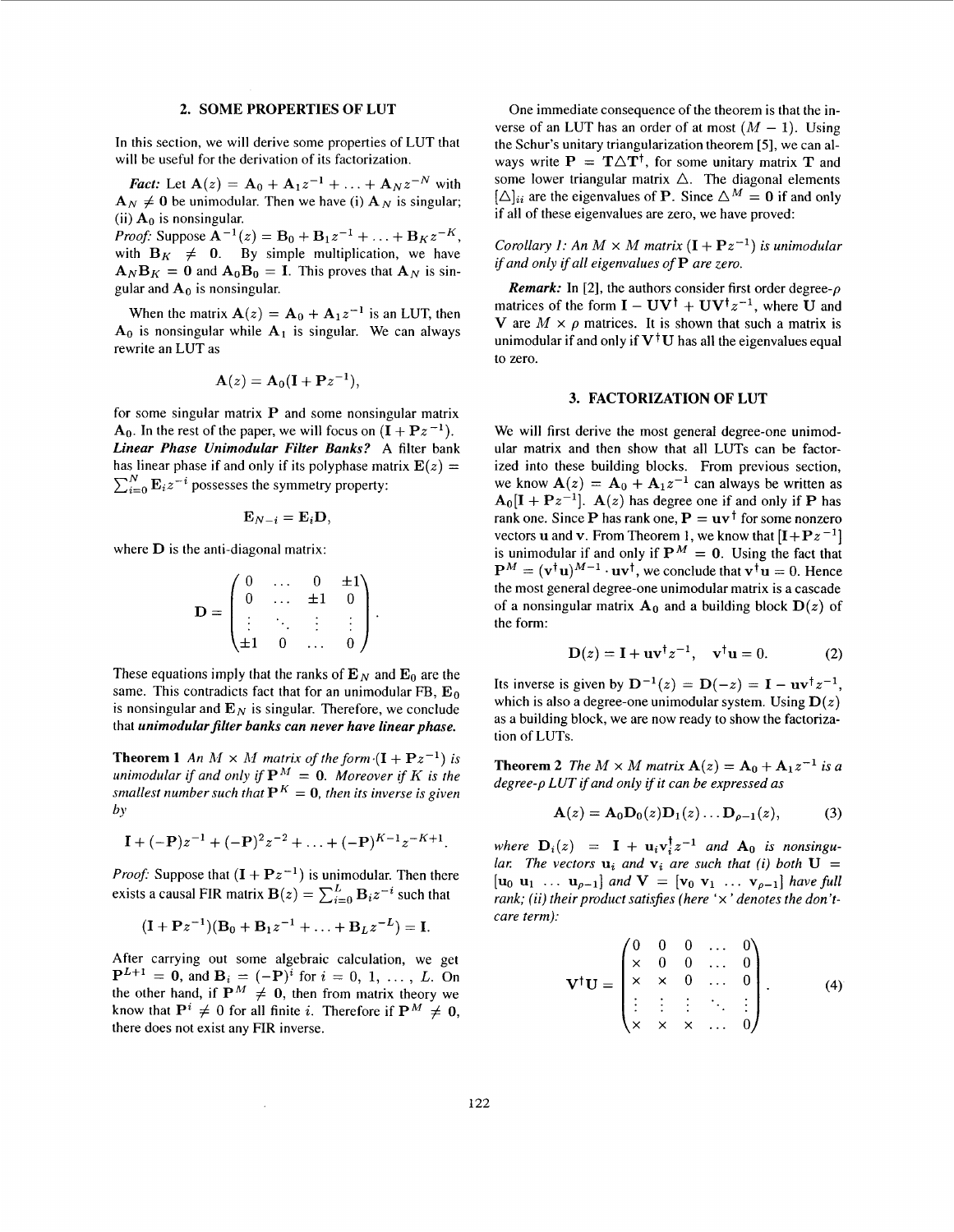### **2. SOME PROPERTIES OF LUT**

In this section, we will derive some properties of LUT that will be useful for the derivation of its factorization.

*Fact:* Let  $A(z) = A_0 + A_1 z^{-1} + ... + A_N z^{-N}$  with  $\mathbf{A}_N \neq \mathbf{0}$  be unimodular. Then we have (i)  $\mathbf{A}_N$  is singular; (ii)  $A_0$  is nonsingular.

*Proof:* Suppose  $A^{-1}(z) = B_0 + B_1 z^{-1} + \ldots + B_K z^{-K}$ , with  $B_K \neq 0$ . By simple multiplication, we have  $\mathbf{A}_N \mathbf{B}_K = \mathbf{0}$  and  $\mathbf{A}_0 \mathbf{B}_0 = \mathbf{I}$ . This proves that  $\mathbf{A}_N$  is singular and  $A_0$  is nonsingular.

When the matrix  $A(z) = A_0 + A_1 z^{-1}$  is an LUT, then  $A_0$  is nonsingular while  $A_1$  is singular. We can always rewrite an LUT as

$$
\mathbf{A}(z) = \mathbf{A}_0(\mathbf{I} + \mathbf{P}z^{-1}),
$$

for some singular matrix **P** and some nonsingular matrix  $A_0$ . In the rest of the paper, we will focus on  $(I + Pz^{-1})$ . *Linear Phase Unimodular Filter Banks?* **A** filter bank has linear phase if and only if its polyphase matrix  $E(z) =$  $\sum_{i=0}^{N} \mathbf{E}_{i} z^{-i}$  possesses the symmetry property:

$$
\mathbf{E}_{N-i}=\mathbf{E}_{i}\mathbf{D},
$$

where **D** is the anti-diagonal matrix:

$$
\mathbf{D} = \begin{pmatrix} 0 & \dots & 0 & \pm 1 \\ 0 & \dots & \pm 1 & 0 \\ \vdots & \ddots & \vdots & \vdots \\ \pm 1 & 0 & \dots & 0 \end{pmatrix}.
$$

These equations imply that the ranks of  $\mathbf{E}_N$  and  $\mathbf{E}_0$  are the same. This contradicts fact that for an unimodular FB, **Eo**  is nonsingular and  $\mathbf{E}_N$  is singular. Therefore, we conclude that *unimodular filter banks can never have linear phase.* 

**Theorem 1** An  $M \times M$  matrix of the form  $(I + Pz^{-1})$  is *unimodular if and only if*  $P^M = 0$ *. Moreover if K is the smallest number such that*  $P^{K} = 0$ , *then its inverse is given by* 

$$
\mathbf{I} + (-\mathbf{P})z^{-1} + (-\mathbf{P})^2z^{-2} + \ldots + (-\mathbf{P})^{K-1}z^{-K+1}.
$$

*Proof:* Suppose that  $(I + Pz^{-1})$  is unimodular. Then there exists a causal FIR matrix  $\mathbf{B}(z) = \sum_{i=0}^{L} \mathbf{B}_i z^{-i}$  such that

$$
(I + Pz^{-1})(B_0 + B_1z^{-1} + ... + B_Lz^{-L}) = I.
$$

After carrying out some algebraic calculation, we get  $P^{L+1} = 0$ , and  $B_i = (-P)^i$  for  $i = 0, 1, ..., L$ . On the other hand, if  $\mathbf{P}^M \neq \mathbf{0}$ , then from matrix theory we know that  $P^i \neq 0$  for all finite *i*. Therefore if  $P^M \neq 0$ , there does not exist any FIR inverse.

One immediate consequence of the theorem is that the inverse of an LUT has an order of at most  $(M - 1)$ . Using the Schur's unitary triangularization theorem *[5],* we can always write  $P = T \Delta T^{\dagger}$ , for some unitary matrix T and some lower triangular matrix  $\triangle$ . The diagonal elements  $[\triangle]_{ii}$  are the eigenvalues of **P**. Since  $\triangle^{M} = 0$  if and only if all of these eigenvalues are zero, we have proved:

*Corollary 1: An*  $M \times M$  *matrix*  $(I + Pz^{-1})$  *is unimodular ifand only if all eigenvalues of* **P** *are zero.* 

*Remark:* In [2], the authors consider first order degree- $\rho$ matrices of the form  $I - UV^{\dagger} + UV^{\dagger}z^{-1}$ , where U and V are  $M \times \rho$  matrices. It is shown that such a matrix is unimodular if and only if  $V^{\dagger}U$  has all the eigenvalues equal to zero.

## **3. FACTORIZATION OF LUT**

We will first derive the most general degree-one unimodular matrix and then show that all LUTs can be factorized into these building blocks. From previous section, we know  $A(z) = A_0 + A_1 z^{-1}$  can always be written as  $A_0[I + Pz^{-1}]$ .  $A(z)$  has degree one if and only if **P** has rank one. Since **P** has rank one,  $P = uv^{\dagger}$  for some nonzero vectors **u** and **v**. From Theorem 1, we know that  $[I + Pz^{-1}]$ is unimodular if and only if  $P^M = 0$ . Using the fact that  $\mathbf{P}^{M} = (\mathbf{v}^{\dagger} \mathbf{u})^{M-1} \cdot \mathbf{u} \mathbf{v}^{\dagger}$ , we conclude that  $\mathbf{v}^{\dagger} \mathbf{u} = 0$ . Hence the most general degree-one unimodular matrix is a cascade of a nonsingular matrix  $A_0$  and a building block  $D(z)$  of the form:

$$
\mathbf{D}(z) = \mathbf{I} + \mathbf{u}\mathbf{v}^{\dagger}z^{-1}, \quad \mathbf{v}^{\dagger}\mathbf{u} = 0. \tag{2}
$$

Its inverse is given by  $D^{-1}(z) = D(-z) = I - uv^{\dagger}z^{-1}$ , which is also a degree-one unimodular system. Using  $D(z)$ as a building block, we are now ready to show the factorization of LUTs.

**Theorem 2** *The*  $M \times M$  *matrix*  $A(z) = A_0 + A_1 z^{-1}$  *is a degree-p LUT if and only if it can be expressed as* 

$$
\mathbf{A}(z) = \mathbf{A}_0 \mathbf{D}_0(z) \mathbf{D}_1(z) \dots \mathbf{D}_{\rho-1}(z), \quad (3)
$$

*where*  $D_i(z) = I + u_i v_i^{\dagger} z^{-1}$  *and*  $A_0$  *is nonsingular.* The vectors  $\mathbf{u}_i$  and  $\mathbf{v}_i$  are such that (i) both  $\mathbf{U} =$  $[\mathbf{u}_0 \ \mathbf{u}_1 \ \ldots \ \mathbf{u}_{p-1}]$  and  $\mathbf{V} = [\mathbf{v}_0 \ \mathbf{v}_1 \ \ldots \ \mathbf{v}_{p-1}]$  have full *rank: (ii) their product satisfies (here* 'x ' *denotes the don'tcare term):* 

$$
\mathbf{V}^{\dagger}\mathbf{U} = \begin{pmatrix} 0 & 0 & 0 & \dots & 0 \\ x & 0 & 0 & \dots & 0 \\ x & x & 0 & \dots & 0 \\ \vdots & \vdots & \vdots & \ddots & \vdots \\ x & x & x & \dots & 0 \end{pmatrix} .
$$
 (4)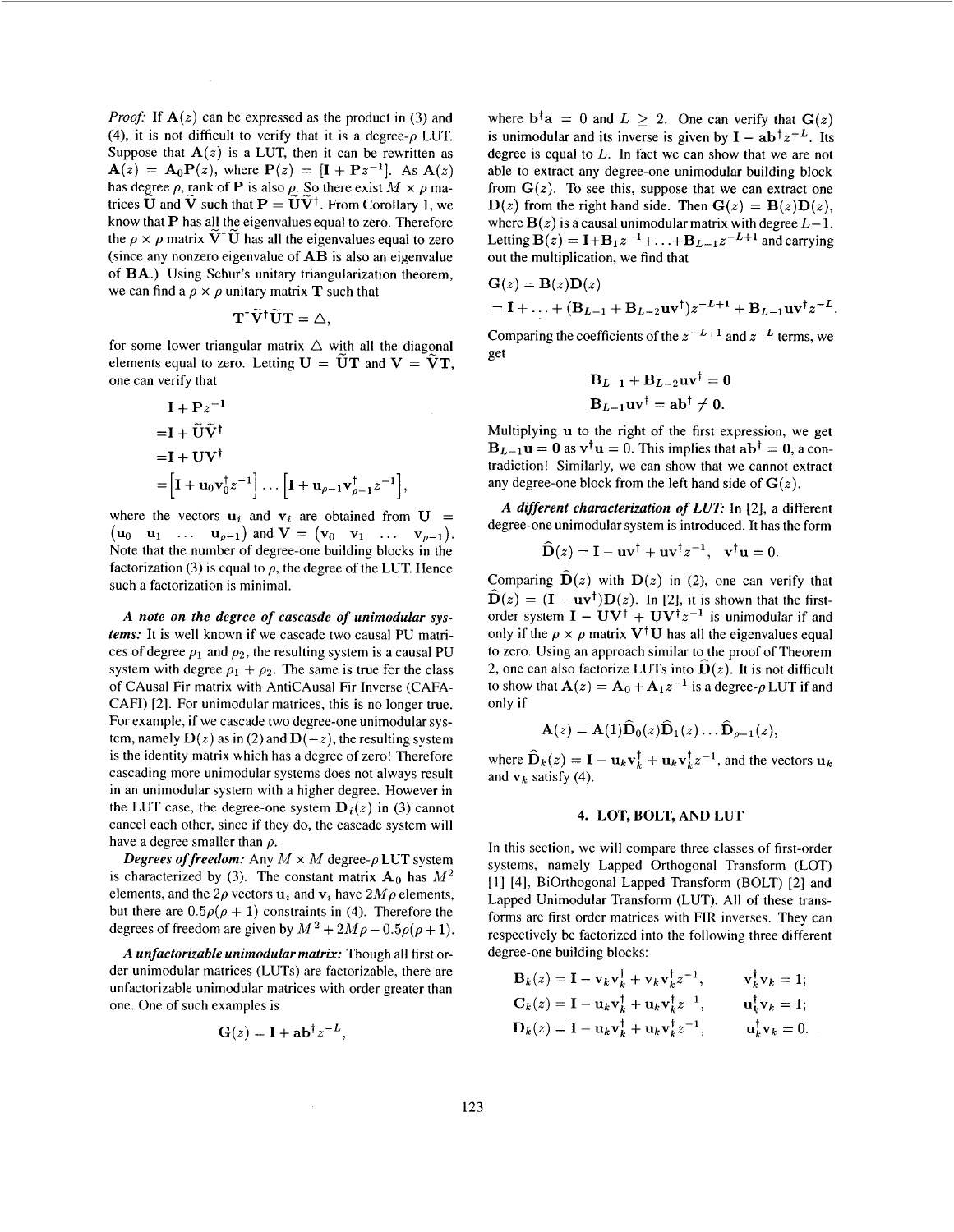*Proof:* If  $A(z)$  can be expressed as the product in (3) and (4), it is not difficult to verify that it is a degree- $\rho$  LUT. Suppose that  $A(z)$  is a LUT, then it can be rewritten as  $A(z) = A_0 P(z)$ , where  $P(z) = [I + Pz^{-1}]$ . As  $A(z)$ has degree  $\rho$ , rank of **P** is also  $\rho$ . So there exist  $M \times \rho$  matrices  $\widetilde{U}$  and  $\widetilde{V}$  such that  $P = \widetilde{U}\widetilde{V}^{\dagger}$ . From Corollary 1, we know that **P** has all the eigenvalues equal to zero. Therefore the  $\rho \times \rho$  matrix  $\tilde{V}^{\dagger} \tilde{U}$  has all the eigenvalues equal to zero (since any nonzero eigenvalue of **AB** is also an eigenvalue of **BA.)** Using Schur's unitary triangularization theorem, we can find a  $\rho \times \rho$  unitary matrix **T** such that

$$
\mathbf{T}^{\dagger} \widetilde{\mathbf{V}}^{\dagger} \widetilde{\mathbf{U}} \mathbf{T} = \triangle,
$$

for some lower triangular matrix  $\triangle$  with all the diagonal elements equal to zero. Letting  $U = \tilde{U}T$  and  $V = \tilde{V}T$ , one can verify that

$$
\begin{aligned} \mathbf{I} + \mathbf{P}z^{-1} \\ = \mathbf{I} + \widetilde{\mathbf{U}}\widetilde{\mathbf{V}}^{\dagger} \\ = \mathbf{I} + \mathbf{U}\mathbf{V}^{\dagger} \\ = \left[\mathbf{I} + \mathbf{u}_0 \mathbf{v}_0^{\dagger} z^{-1}\right] \dots \left[\mathbf{I} + \mathbf{u}_{\rho-1} \mathbf{v}_{\rho-1}^{\dagger} z^{-1}\right], \end{aligned}
$$

where the vectors  $\mathbf{u}_i$  and  $\mathbf{v}_i$  are obtained from  $\mathbf{U} =$  $(\mathbf{u}_0 \quad \mathbf{u}_1 \quad \dots \quad \mathbf{u}_{\rho-1})$  and  $\mathbf{V} = (\mathbf{v}_0 \quad \mathbf{v}_1 \quad \dots \quad \mathbf{v}_{\rho-1}).$ Note that the number of degree-one building blocks in the factorization (3) is equal to  $\rho$ , the degree of the LUT. Hence such a factorization is minimal.

*A note on the degree of cascasde of unimodular* **sys***tems:* It is well known if we cascade two causal PU matrices of degree  $\rho_1$  and  $\rho_2$ , the resulting system is a causal PU system with degree  $\rho_1 + \rho_2$ . The same is true for the class of CAusal Fir matrix with AntiCAusal Fir Inverse (CAFA-CAFI) [2]. For unimodular matrices, this is no longer true. For example, if we cascade two degree-one unimodular system, namely  $\mathbf{D}(z)$  as in (2) and  $\mathbf{D}(-z)$ , the resulting system is the identity matrix which has a degree of zero! Therefore cascading more unimodular systems does not always result in an unimodular system with a higher degree. However in the LUT case, the degree-one system  $\mathbf{D}_i(z)$  in (3) cannot cancel each other, since if they do, the cascade system will have a degree smaller than *p.* 

*Degrees of freedom:* Any  $M \times M$  degree- $\rho$  LUT system is characterized by (3). The constant matrix  $A_0$  has  $M^2$ elements, and the  $2\rho$  vectors  $\mathbf{u}_i$  and  $\mathbf{v}_i$  have  $2M\rho$  elements, but there are  $0.5\rho(\rho + 1)$  constraints in (4). Therefore the degrees of freedom are given by  $M^2 + 2M\rho - 0.5\rho(\rho + 1)$ .

*A unfactorizable unimodular matrix:* Though all first order unimodular matrices (LUTs) are factorizable, there are unfactorizable unimodular matrices with order greater than one. One of such examples is

$$
\mathbf{G}(z) = \mathbf{I} + \mathbf{a} \mathbf{b}^{\dagger} z^{-L},
$$

where  $\mathbf{b}^{\dagger} \mathbf{a} = 0$  and  $L > 2$ . One can verify that  $\mathbf{G}(z)$ is unimodular and its inverse is given by  $I - ab^{\dagger}z^{-L}$ . Its degree is equal to *L.* In fact we can show that we are not able to extract any degree-one unimodular building block from  $G(z)$ . To see this, suppose that we can extract one  $D(z)$  from the right hand side. Then  $G(z) = B(z)D(z)$ , where  $B(z)$  is a causal unimodular matrix with degree  $L-1$ . Letting  $B(z) = I + B_1 z^{-1} + \ldots + B_{L-1} z^{-L+1}$  and carrying out the multiplication, we find that

$$
\mathbf{G}(z) = \mathbf{B}(z)\mathbf{D}(z)
$$
  
=  $\mathbf{I} + \dots + (\mathbf{B}_{L-1} + \mathbf{B}_{L-2}\mathbf{u}\mathbf{v}^{\dagger})z^{-L+1} + \mathbf{B}_{L-1}\mathbf{u}\mathbf{v}^{\dagger}z^{-L}.$ 

Comparing the coefficients of the  $z^{-L+1}$  and  $z^{-L}$  terms, we get

$$
\mathbf{B}_{L-1} + \mathbf{B}_{L-2}\mathbf{u}\mathbf{v}^{\dagger} = \mathbf{0}
$$

$$
\mathbf{B}_{L-1}\mathbf{u}\mathbf{v}^{\dagger} = \mathbf{a}\mathbf{b}^{\dagger} \neq \mathbf{0}.
$$

Multiplying **U** to the right of the first expression, we get  **as**  $**v**<sup>†</sup>**u** = 0$ **. This implies that**  $**ab**<sup>†</sup> = **0**$ **, a con**tradiction! Similarly, we can show that we cannot extract any degree-one block from the left hand side of  $G(z)$ .

*A different characterization of LUE* In [2], a different degree-one unimodular system is introduced. It has the form

$$
\widehat{\mathbf{D}}(z) = \mathbf{I} - \mathbf{u}\mathbf{v}^{\dagger} + \mathbf{u}\mathbf{v}^{\dagger}z^{-1}, \quad \mathbf{v}^{\dagger}\mathbf{u} = 0.
$$

Comparing  $\hat{\mathbf{D}}(z)$  with  $\mathbf{D}(z)$  in (2), one can verify that  $\hat{\mathbf{D}}(z) = (\mathbf{I} - \mathbf{u}\mathbf{v}^{\dagger})\mathbf{D}(z)$ . In [2], it is shown that the firstorder system  $I - UV^{\dagger} + UV^{\dagger}z^{-1}$  is unimodular if and only if the  $\rho \times \rho$  matrix  $V^{\dagger}U$  has all the eigenvalues equal to zero. Using an approach similar to the proof of Theorem 2, one can also factorize LUTs into  $\hat{\mathbf{D}}(z)$ . It is not difficult to show that  $\mathbf{A}(z) = \mathbf{A}_0 + \mathbf{A}_1 z^{-1}$  is a degree- $\rho$  LUT if and only if

$$
\mathbf{A}(z) = \mathbf{A}(1)\widehat{\mathbf{D}}_0(z)\widehat{\mathbf{D}}_1(z)\ldots \widehat{\mathbf{D}}_{\rho-1}(z),
$$

where  $\widehat{\mathbf{D}}_k(z) = \mathbf{I} - \mathbf{u}_k \mathbf{v}_k^{\dagger} + \mathbf{u}_k \mathbf{v}_k^{\dagger} z^{-1}$ , and the vectors  $\mathbf{u}_k$ and  $v_k$  satisfy (4).

## **4. LOT, BOLT, AND LUT**

In this section, we will compare three classes of first-order systems, namely Lapped Orthogonal Transform (LOT) [I] [4], BiOrthogonal Lapped Transform (BOLT) [2] and Lapped Unimodular Transform (LUT). All of these transforms are first order matrices with FIR inverses. They can respectively be factorized into the following three different degree-one building blocks:

$$
\mathbf{B}_k(z) = \mathbf{I} - \mathbf{v}_k \mathbf{v}_k^{\dagger} + \mathbf{v}_k \mathbf{v}_k^{\dagger} z^{-1}, \qquad \mathbf{v}_k^{\dagger} \mathbf{v}_k = 1; \n\mathbf{C}_k(z) = \mathbf{I} - \mathbf{u}_k \mathbf{v}_k^{\dagger} + \mathbf{u}_k \mathbf{v}_k^{\dagger} z^{-1}, \qquad \mathbf{u}_k^{\dagger} \mathbf{v}_k = 1; \n\mathbf{D}_k(z) = \mathbf{I} - \mathbf{u}_k \mathbf{v}_k^{\dagger} + \mathbf{u}_k \mathbf{v}_k^{\dagger} z^{-1}, \qquad \mathbf{u}_k^{\dagger} \mathbf{v}_k = 0.
$$